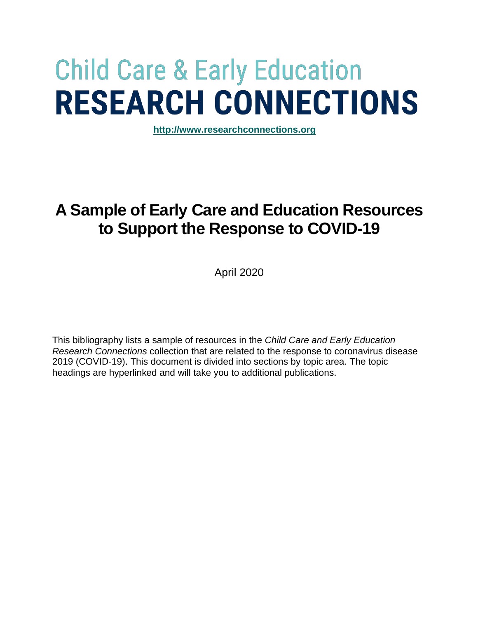# **Child Care & Early Education RESEARCH CONNECTIONS**

**[http://www.researchconnections.org](http://www.researchconnections.org/)**

# **A Sample of Early Care and Education Resources to Support the Response to COVID-19**

April 2020

This bibliography lists a sample of resources in the *Child Care and Early Education Research Connections* collection that are related to the response to coronavirus disease 2019 (COVID-19). This document is divided into sections by topic area. The topic headings are hyperlinked and will take you to additional publications.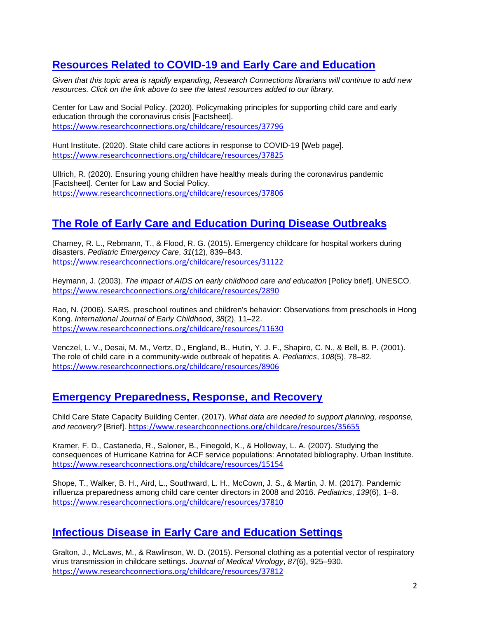# **[Resources Related to COVID-19 and Early Care and Education](https://www.researchconnections.org/childcare/search/resources?q=%22COVID%22+or+%22coronavirus%22)**

*Given that this topic area is rapidly expanding, Research Connections librarians will continue to add new resources. Click on the link above to see the latest resources added to our library.*

Center for Law and Social Policy. (2020). Policymaking principles for supporting child care and early education through the coronavirus crisis [Factsheet]. <https://www.researchconnections.org/childcare/resources/37796>

Hunt Institute. (2020). State child care actions in response to COVID-19 [Web page]. <https://www.researchconnections.org/childcare/resources/37825>

Ullrich, R. (2020). Ensuring young children have healthy meals during the coronavirus pandemic [Factsheet]. Center for Law and Social Policy. <https://www.researchconnections.org/childcare/resources/37806>

## **[The Role of Early Care and Education During Disease Outbreaks](https://www.researchconnections.org/childcare/search/resources?start=0&ispublic=0&sort=score%20desc%2CissueDateSort%20desc&rows=50&q=%22disease%22%20or%20%22epidemic%22)**

Charney, R. L., Rebmann, T., & Flood, R. G. (2015). Emergency childcare for hospital workers during disasters. *Pediatric Emergency Care*, *31*(12), 839–843. <https://www.researchconnections.org/childcare/resources/31122>

Heymann, J. (2003). *The impact of AIDS on early childhood care and education* [Policy brief]. UNESCO. <https://www.researchconnections.org/childcare/resources/2890>

Rao, N. (2006). SARS, preschool routines and children's behavior: Observations from preschools in Hong Kong. *International Journal of Early Childhood*, *38*(2), 11–22. <https://www.researchconnections.org/childcare/resources/11630>

Venczel, L. V., Desai, M. M., Vertz, D., England, B., Hutin, Y. J. F., Shapiro, C. N., & Bell, B. P. (2001). The role of child care in a community-wide outbreak of hepatitis A. *Pediatrics*, *108*(5), 78–82. <https://www.researchconnections.org/childcare/resources/8906>

#### **[Emergency Preparedness, Response, and Recovery](https://www.researchconnections.org/childcare/search/resources?start=0&sort=score%20desc%2CissueDateSort%20desc&ispublic=0&rows=50&q=%22emergency%22%20or%20%22disaster%22%20and%20%22preparedness%22%20or%20%22response%22)**

Child Care State Capacity Building Center. (2017). *What data are needed to support planning, response, and recovery?* [Brief]. <https://www.researchconnections.org/childcare/resources/35655>

Kramer, F. D., Castaneda, R., Saloner, B., Finegold, K., & Holloway, L. A. (2007). Studying the consequences of Hurricane Katrina for ACF service populations: Annotated bibliography. Urban Institute. <https://www.researchconnections.org/childcare/resources/15154>

Shope, T., Walker, B. H., Aird, L., Southward, L. H., McCown, J. S., & Martin, J. M. (2017). Pandemic influenza preparedness among child care center directors in 2008 and 2016. *Pediatrics*, *139*(6), 1–8. <https://www.researchconnections.org/childcare/resources/37810>

#### **[Infectious Disease in Early Care and Education Settings](https://www.researchconnections.org/childcare/search/resources?start=0&sort=score%20desc%2CissueDateSort%20desc&ispublic=0&rows=50&q=%22disease%22%20and%20%22spread%22)**

Gralton, J., McLaws, M., & Rawlinson, W. D. (2015). Personal clothing as a potential vector of respiratory virus transmission in childcare settings. *Journal of Medical Virology*, *87*(6), 925–930. <https://www.researchconnections.org/childcare/resources/37812>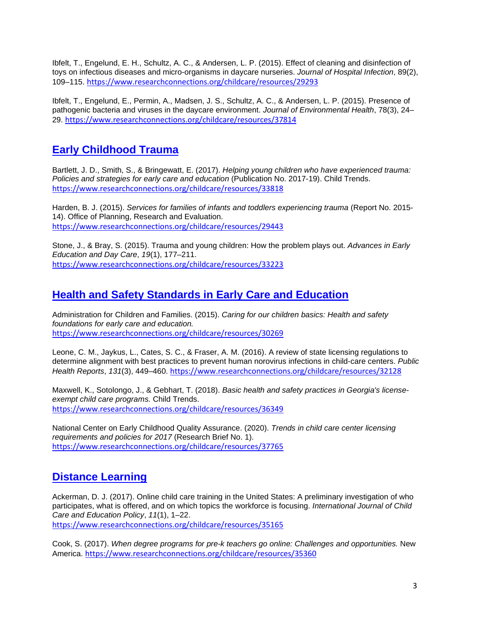Ibfelt, T., Engelund, E. H., Schultz, A. C., & Andersen, L. P. (2015). Effect of cleaning and disinfection of toys on infectious diseases and micro-organisms in daycare nurseries. *Journal of Hospital Infection*, 89(2), 109–115. <https://www.researchconnections.org/childcare/resources/29293>

Ibfelt, T., Engelund, E., Permin, A., Madsen, J. S., Schultz, A. C., & Andersen, L. P. (2015). Presence of pathogenic bacteria and viruses in the daycare environment. *Journal of Environmental Health*, 78(3), 24– 29. <https://www.researchconnections.org/childcare/resources/37814>

### **[Early Childhood Trauma](https://www.researchconnections.org/childcare/search/resources?start=0&sort=score%20desc%2CissueDateSort%20desc&ispublic=0&rows=50&q=%22trauma%22)**

Bartlett, J. D., Smith, S., & Bringewatt, E. (2017). *Helping young children who have experienced trauma: Policies and strategies for early care and education* (Publication No. 2017-19). Child Trends. <https://www.researchconnections.org/childcare/resources/33818>

Harden, B. J. (2015). *Services for families of infants and toddlers experiencing trauma* (Report No. 2015- 14). Office of Planning, Research and Evaluation. <https://www.researchconnections.org/childcare/resources/29443>

Stone, J., & Bray, S. (2015). Trauma and young children: How the problem plays out. *Advances in Early Education and Day Care*, *19*(1), 177–211. <https://www.researchconnections.org/childcare/resources/33223>

### **[Health and Safety Standards in Early Care and Education](https://www.researchconnections.org/childcare/search/resources?q=%22health+and+safety%22+%2B+standards+OR+licensing)**

Administration for Children and Families. (2015). *Caring for our children basics: Health and safety foundations for early care and education.*  <https://www.researchconnections.org/childcare/resources/30269>

Leone, C. M., Jaykus, L., Cates, S. C., & Fraser, A. M. (2016). A review of state licensing regulations to determine alignment with best practices to prevent human norovirus infections in child-care centers. *Public Health Reports*, *131*(3), 449–460. <https://www.researchconnections.org/childcare/resources/32128>

Maxwell, K., Sotolongo, J., & Gebhart, T. (2018). *Basic health and safety practices in Georgia's licenseexempt child care programs.* Child Trends. <https://www.researchconnections.org/childcare/resources/36349>

National Center on Early Childhood Quality Assurance. (2020). *Trends in child care center licensing requirements and policies for 2017* (Research Brief No. 1). <https://www.researchconnections.org/childcare/resources/37765>

# **[Distance Learning](https://www.researchconnections.org/childcare/search/resources?start=0&ispublic=0&sort=score%20desc%2CissueDateSort%20desc&rows=50&q=%22distance%20learning%22%20or%20%22online%22%20)**

Ackerman, D. J. (2017). Online child care training in the United States: A preliminary investigation of who participates, what is offered, and on which topics the workforce is focusing. *International Journal of Child Care and Education Policy*, *11*(1), 1–22. <https://www.researchconnections.org/childcare/resources/35165>

Cook, S. (2017). *When degree programs for pre-k teachers go online: Challenges and opportunities.* New America. <https://www.researchconnections.org/childcare/resources/35360>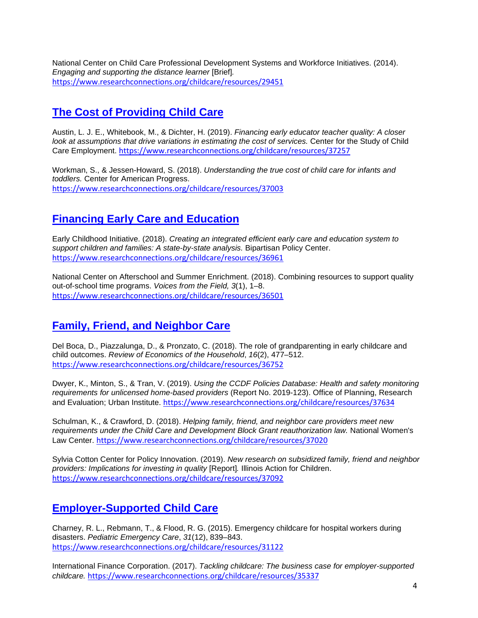National Center on Child Care Professional Development Systems and Workforce Initiatives. (2014). *Engaging and supporting the distance learner* [Brief]*.* <https://www.researchconnections.org/childcare/resources/29451>

# **[The Cost of Providing Child Care](https://www.researchconnections.org/childcare/search/resources?topic=3.3)**

Austin, L. J. E., Whitebook, M., & Dichter, H. (2019). *Financing early educator teacher quality: A closer*  look at assumptions that drive variations in estimating the cost of services. Center for the Study of Child Care Employment. <https://www.researchconnections.org/childcare/resources/37257>

Workman, S., & Jessen-Howard, S. (2018). *Understanding the true cost of child care for infants and toddlers.* Center for American Progress. <https://www.researchconnections.org/childcare/resources/37003>

# **[Financing Early Care and Education](https://www.researchconnections.org/childcare/search/resources?topic=9.2)**

Early Childhood Initiative. (2018). *Creating an integrated efficient early care and education system to support children and families: A state-by-state analysis.* Bipartisan Policy Center. <https://www.researchconnections.org/childcare/resources/36961>

National Center on Afterschool and Summer Enrichment. (2018). Combining resources to support quality out-of-school time programs. *Voices from the Field, 3*(1), 1–8. <https://www.researchconnections.org/childcare/resources/36501>

# **[Family, Friend, and Neighbor Care](https://www.researchconnections.org/childcare/search/resources?topic=4.1.3)**

Del Boca, D., Piazzalunga, D., & Pronzato, C. (2018). The role of grandparenting in early childcare and child outcomes. *Review of Economics of the Household*, *16*(2), 477–512. <https://www.researchconnections.org/childcare/resources/36752>

Dwyer, K., Minton, S., & Tran, V. (2019). *Using the CCDF Policies Database: Health and safety monitoring requirements for unlicensed home-based providers* (Report No. 2019-123). Office of Planning, Research and Evaluation; Urban Institute. <https://www.researchconnections.org/childcare/resources/37634>

Schulman, K., & Crawford, D. (2018). *Helping family, friend, and neighbor care providers meet new requirements under the Child Care and Development Block Grant reauthorization law.* National Women's Law Center. <https://www.researchconnections.org/childcare/resources/37020>

Sylvia Cotton Center for Policy Innovation. (2019). *New research on subsidized family, friend and neighbor providers: Implications for investing in quality* [Report]*.* Illinois Action for Children. <https://www.researchconnections.org/childcare/resources/37092>

# **[Employer-Supported](https://www.researchconnections.org/childcare/search/resources?topic=4.2.2) Child Care**

Charney, R. L., Rebmann, T., & Flood, R. G. (2015). Emergency childcare for hospital workers during disasters. *Pediatric Emergency Care*, *31*(12), 839–843. <https://www.researchconnections.org/childcare/resources/31122>

International Finance Corporation. (2017). *Tackling childcare: The business case for employer-supported childcare.* <https://www.researchconnections.org/childcare/resources/35337>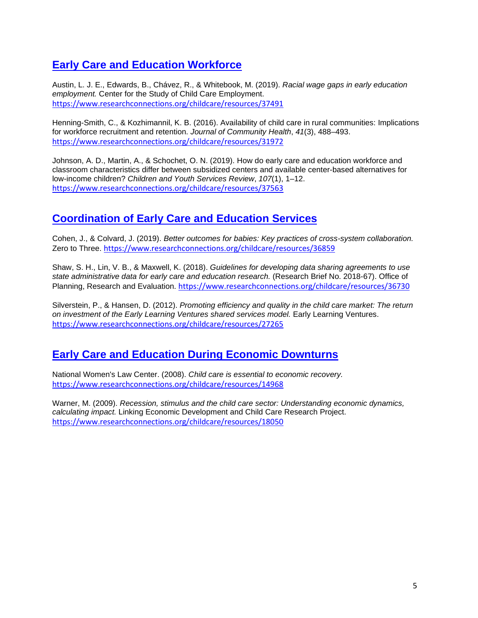# **[Early Care and Education Workforce](https://www.researchconnections.org/childcare/search/resources?topic=5.1)**

Austin, L. J. E., Edwards, B., Chávez, R., & Whitebook, M. (2019). *Racial wage gaps in early education employment.* Center for the Study of Child Care Employment. <https://www.researchconnections.org/childcare/resources/37491>

Henning-Smith, C., & Kozhimannil, K. B. (2016). Availability of child care in rural communities: Implications for workforce recruitment and retention. *Journal of Community Health*, *41*(3), 488–493. <https://www.researchconnections.org/childcare/resources/31972>

Johnson, A. D., Martin, A., & Schochet, O. N. (2019). [How do early care and education workforce and](https://www.researchconnections.org/childcare/resources/37563)  [classroom characteristics differ between subsidized centers and available center-based alternatives for](https://www.researchconnections.org/childcare/resources/37563)  [low-income children?](https://www.researchconnections.org/childcare/resources/37563) *Children and Youth Services Review*, *107*(1), 1–12. <https://www.researchconnections.org/childcare/resources/37563>

# **[Coordination of Early Care and Education Services](https://www.researchconnections.org/childcare/search/resources?topic=8.2)**

Cohen, J., & Colvard, J. (2019). *Better outcomes for babies: Key practices of cross-system collaboration.*  Zero to Three. <https://www.researchconnections.org/childcare/resources/36859>

Shaw, S. H., Lin, V. B., & Maxwell, K. (2018). *Guidelines for developing data sharing agreements to use state administrative data for early care and education research.* (Research Brief No. 2018-67). Office of Planning, Research and Evaluation. <https://www.researchconnections.org/childcare/resources/36730>

Silverstein, P., & Hansen, D. (2012). *Promoting efficiency and quality in the child care market: The return on investment of the Early Learning Ventures shared services model.* Early Learning Ventures. <https://www.researchconnections.org/childcare/resources/27265>

# **[Early Care and Education During Economic Downturns](https://www.researchconnections.org/childcare/search/resources?q=%22recession%22+OR+%22economic+downturn%22)**

National Women's Law Center. (2008). *Child care is essential to economic recovery.*  <https://www.researchconnections.org/childcare/resources/14968>

Warner, M. (2009). *Recession, stimulus and the child care sector: Understanding economic dynamics, calculating impact.* Linking Economic Development and Child Care Research Project. <https://www.researchconnections.org/childcare/resources/18050>